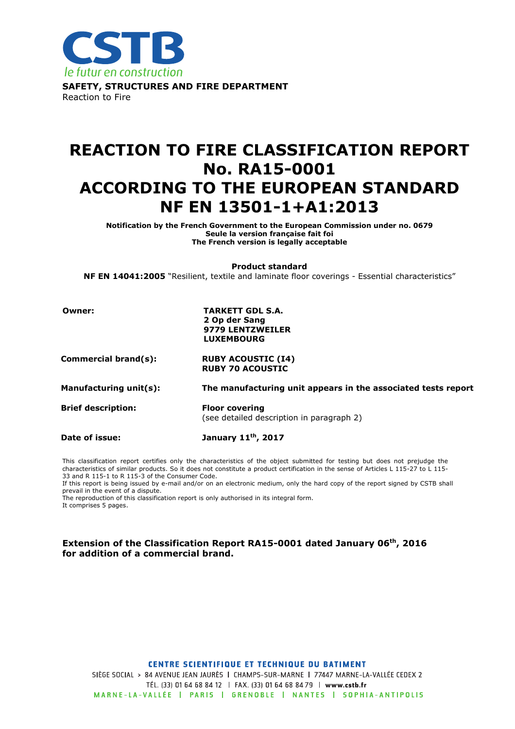

# REACTION TO FIRE CLASSIFICATION REPORT No. RA15-0001 ACCORDING TO THE EUROPEAN STANDARD NF EN 13501-1+A1:2013

Notification by the French Government to the European Commission under no. 0679 Seule la version française fait foi The French version is legally acceptable

Product standard

NF EN 14041:2005 "Resilient, textile and laminate floor coverings - Essential characteristics"

Owner: TARKETT GDL S.A. 2 Op der Sang 9779 LENTZWEILER LUXEMBOURG

Commercial brand(s): RUBY ACOUSTIC (I4) RUBY 70 ACOUSTIC

Manufacturing unit(s): The manufacturing unit appears in the associated tests report

Brief description: Floor covering

(see detailed description in paragraph 2)

Date of issue: January 11<sup>th</sup>, 2017

This classification report certifies only the characteristics of the object submitted for testing but does not prejudge the characteristics of similar products. So it does not constitute a product certification in the sense of Articles L 115-27 to L 115- 33 and R 115-1 to R 115-3 of the Consumer Code.

If this report is being issued by e-mail and/or on an electronic medium, only the hard copy of the report signed by CSTB shall prevail in the event of a dispute.

The reproduction of this classification report is only authorised in its integral form. It comprises 5 pages.

#### Extension of the Classification Report RA15-0001 dated January 06th, 2016 for addition of a commercial brand.

#### **CENTRE SCIENTIFIQUE ET TECHNIQUE DU BATIMENT**

SIÈGE SOCIAL > 84 AVENUE JEAN JAURÈS | CHAMPS-SUR-MARNE | 77447 MARNE-LA-VALLÉE CEDEX 2 TÉL. (33) 01 64 68 84 12 | FAX. (33) 01 64 68 84 79 | www.cstb.fr MARNE-LA-VALLÉE | PARIS | GRENOBLE | NANTES | SOPHIA-ANTIPOLIS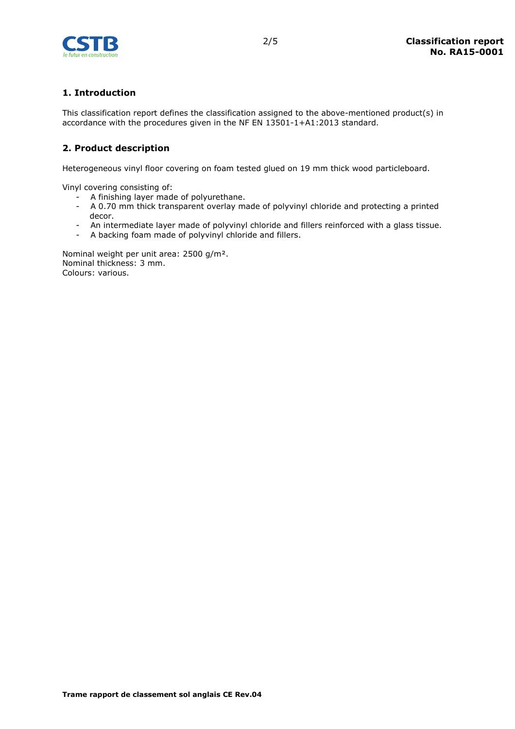

## 1. Introduction

This classification report defines the classification assigned to the above-mentioned product(s) in accordance with the procedures given in the NF EN 13501-1+A1:2013 standard.

## 2. Product description

Heterogeneous vinyl floor covering on foam tested glued on 19 mm thick wood particleboard.

Vinyl covering consisting of:

- A finishing layer made of polyurethane.
- A 0.70 mm thick transparent overlay made of polyvinyl chloride and protecting a printed decor.
- An intermediate layer made of polyvinyl chloride and fillers reinforced with a glass tissue.
- A backing foam made of polyvinyl chloride and fillers.

Nominal weight per unit area: 2500 g/m². Nominal thickness: 3 mm. Colours: various.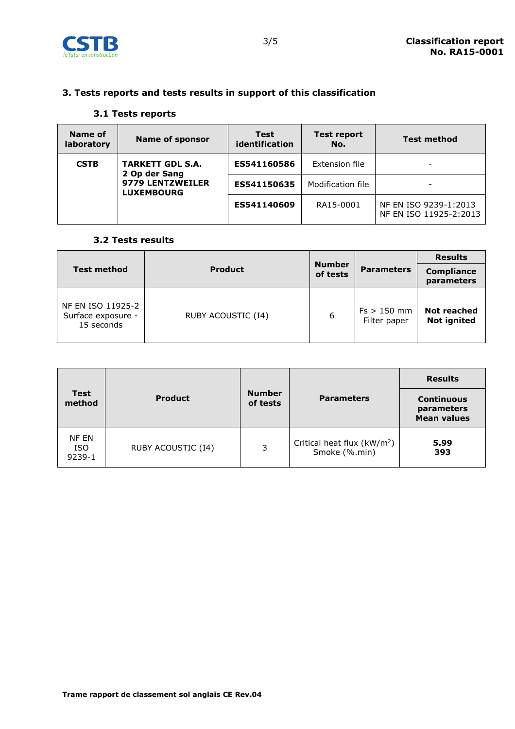

## 3. Tests reports and tests results in support of this classification

### 3.1 Tests reports

| Name of<br>laboratory | <b>Name of sponsor</b>                   | <b>Test</b><br>identification | <b>Test report</b><br>No. | <b>Test method</b>                              |
|-----------------------|------------------------------------------|-------------------------------|---------------------------|-------------------------------------------------|
| <b>CSTB</b>           | <b>TARKETT GDL S.A.</b><br>2 Op der Sang | ES541160586                   | Extension file            |                                                 |
|                       | 9779 LENTZWEILER<br><b>LUXEMBOURG</b>    | ES541150635                   | Modification file         |                                                 |
|                       |                                          | ES541140609                   | RA15-0001                 | NF EN ISO 9239-1:2013<br>NF EN ISO 11925-2:2013 |

#### 3.2 Tests results

|                                                       |                    |                           |                               | <b>Results</b>                    |
|-------------------------------------------------------|--------------------|---------------------------|-------------------------------|-----------------------------------|
| <b>Test method</b>                                    | <b>Product</b>     | <b>Number</b><br>of tests | <b>Parameters</b>             | <b>Compliance</b><br>parameters   |
| NF EN ISO 11925-2<br>Surface exposure -<br>15 seconds | RUBY ACOUSTIC (I4) | 6                         | $Fs > 150$ mm<br>Filter paper | Not reached<br><b>Not ignited</b> |

| <b>Test</b><br>method         | <b>Product</b>     | <b>Number</b><br>of tests | <b>Parameters</b>                             | <b>Results</b><br><b>Continuous</b><br>parameters<br><b>Mean values</b> |
|-------------------------------|--------------------|---------------------------|-----------------------------------------------|-------------------------------------------------------------------------|
| NF EN<br><b>ISO</b><br>9239-1 | RUBY ACOUSTIC (I4) | 3                         | Critical heat flux $(kW/m2)$<br>Smoke (%.min) | 5.99<br>393                                                             |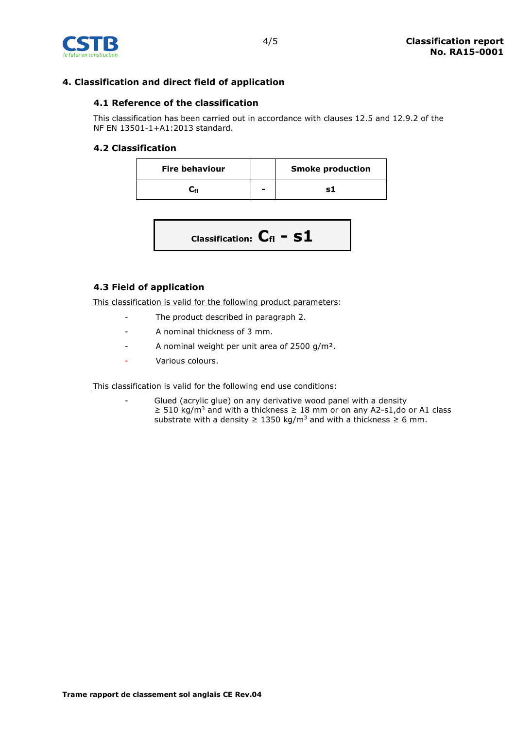

## 4. Classification and direct field of application

### 4.1 Reference of the classification

This classification has been carried out in accordance with clauses 12.5 and 12.9.2 of the NF EN 13501-1+A1:2013 standard.

#### 4.2 Classification

| <b>Fire behaviour</b> |   | <b>Smoke production</b> |
|-----------------------|---|-------------------------|
|                       | - |                         |

| Classification: $\mathbf{C}_{\mathsf{fl}}$ = $\mathbf{S1}$ |
|------------------------------------------------------------|
|------------------------------------------------------------|

## 4.3 Field of application

This classification is valid for the following product parameters:

- The product described in paragraph 2.
- A nominal thickness of 3 mm.
- A nominal weight per unit area of 2500 g/m².
- Various colours.

This classification is valid for the following end use conditions:

Glued (acrylic glue) on any derivative wood panel with a density ≥ 510 kg/m<sup>3</sup> and with a thickness ≥ 18 mm or on any A2-s1,do or A1 class substrate with a density  $\geq 1350$  kg/m<sup>3</sup> and with a thickness  $\geq 6$  mm.